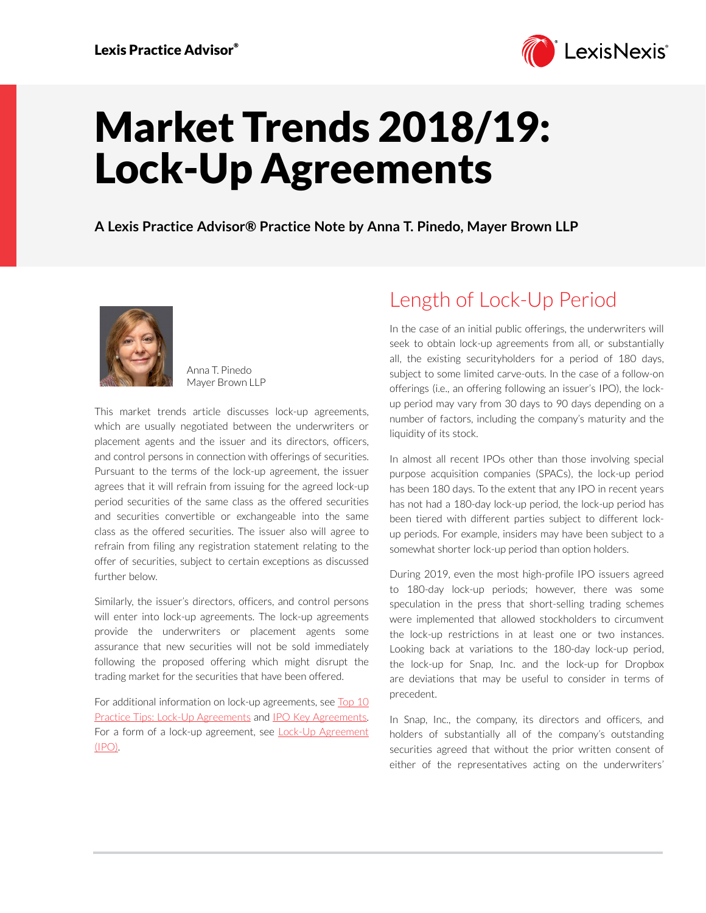

# Market Trends 2018/19: Lock-Up Agreements

**A Lexis Practice Advisor® Practice Note by Anna T. Pinedo, Mayer Brown LLP**



Anna T. Pinedo Mayer Brown LLP

This market trends article discusses lock-up agreements, which are usually negotiated between the underwriters or placement agents and the issuer and its directors, officers, and control persons in connection with offerings of securities. Pursuant to the terms of the lock-up agreement, the issuer agrees that it will refrain from issuing for the agreed lock-up period securities of the same class as the offered securities and securities convertible or exchangeable into the same class as the offered securities. The issuer also will agree to refrain from filing any registration statement relating to the offer of securities, subject to certain exceptions as discussed further below.

Similarly, the issuer's directors, officers, and control persons will enter into lock-up agreements. The lock-up agreements provide the underwriters or placement agents some assurance that new securities will not be sold immediately following the proposed offering which might disrupt the trading market for the securities that have been offered.

For additional information on lock-up agreements, see Top 10 [Practice Tips: Lock-Up Agreements](https://advance.lexis.com/open/document/lpadocument/?pdmfid=1000522&pddocfullpath=%2Fshared%2Fdocument%2Fanalytical-materials%2Furn%3AcontentItem%3A5V03-KRB1-JJK6-S2C0-00000-00&pddocid=urn%3AcontentItem%3A5V03-KRB1-JJK6-S2C0-00000-00&pdcontentcomponentid=101206&pdteaserkey=sr0&pditab=allpods&ecomp=btrg&earg=sr0) and [IPO Key Agreements](https://advance.lexis.com/open/document/lpadocument/?pdmfid=1000522&pddocfullpath=%2Fshared%2Fdocument%2Fanalytical-materials%2Furn%3AcontentItem%3A576Y-2CH1-DXPM-S026-00000-00&pddocid=urn%3AcontentItem%3A576Y-2CH1-DXPM-S026-00000-00&pdcontentcomponentid=101206&pdteaserkey=sr0&pditab=allpods&ecomp=btrg&earg=sr0). For a form of a lock-up agreement, see [Lock-Up Agreement](https://advance.lexis.com/open/document/lpadocument/?pdmfid=1000522&pddocfullpath=%2Fshared%2Fdocument%2Fforms%2Furn%3AcontentItem%3A57P5-G1S1-F27X-636T-00000-00&pddocid=urn%3AcontentItem%3A57P5-G1S1-F27X-636T-00000-00&pdcontentcomponentid=101381&pdteaserkey=sr0&pditab=allpods&ecomp=btrg&earg=sr0)  [\(IPO\)](https://advance.lexis.com/open/document/lpadocument/?pdmfid=1000522&pddocfullpath=%2Fshared%2Fdocument%2Fforms%2Furn%3AcontentItem%3A57P5-G1S1-F27X-636T-00000-00&pddocid=urn%3AcontentItem%3A57P5-G1S1-F27X-636T-00000-00&pdcontentcomponentid=101381&pdteaserkey=sr0&pditab=allpods&ecomp=btrg&earg=sr0).

# Length of Lock-Up Period

In the case of an initial public offerings, the underwriters will seek to obtain lock-up agreements from all, or substantially all, the existing securityholders for a period of 180 days, subject to some limited carve-outs. In the case of a follow-on offerings (i.e., an offering following an issuer's IPO), the lockup period may vary from 30 days to 90 days depending on a number of factors, including the company's maturity and the liquidity of its stock.

In almost all recent IPOs other than those involving special purpose acquisition companies (SPACs), the lock-up period has been 180 days. To the extent that any IPO in recent years has not had a 180-day lock-up period, the lock-up period has been tiered with different parties subject to different lockup periods. For example, insiders may have been subject to a somewhat shorter lock-up period than option holders.

During 2019, even the most high-profile IPO issuers agreed to 180-day lock-up periods; however, there was some speculation in the press that short-selling trading schemes were implemented that allowed stockholders to circumvent the lock-up restrictions in at least one or two instances. Looking back at variations to the 180-day lock-up period, the lock-up for Snap, Inc. and the lock-up for Dropbox are deviations that may be useful to consider in terms of precedent.

In Snap, Inc., the company, its directors and officers, and holders of substantially all of the company's outstanding securities agreed that without the prior written consent of either of the representatives acting on the underwriters'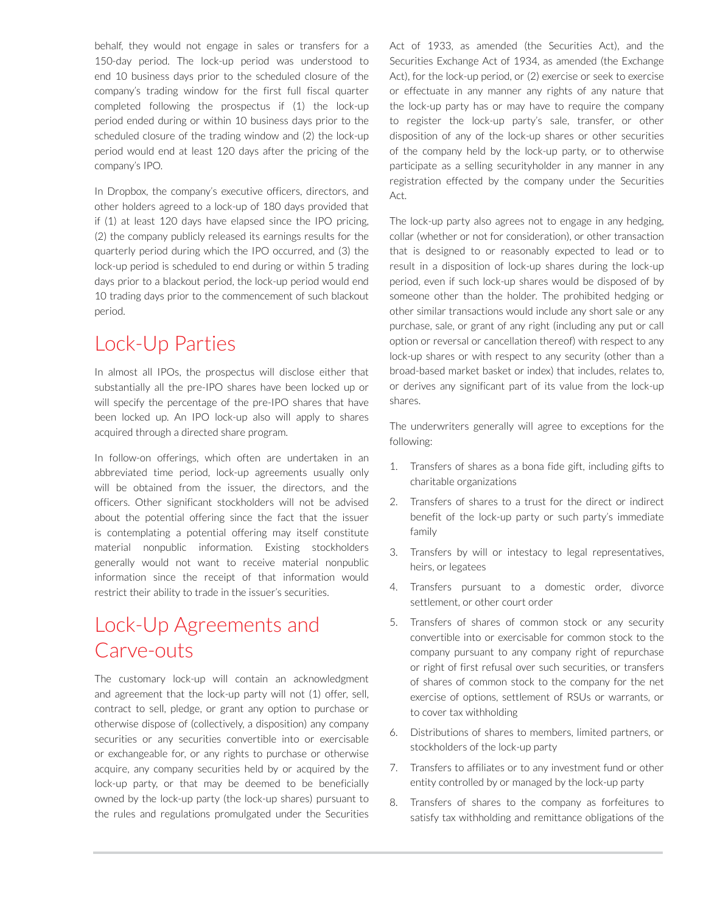behalf, they would not engage in sales or transfers for a 150-day period. The lock-up period was understood to end 10 business days prior to the scheduled closure of the company's trading window for the first full fiscal quarter completed following the prospectus if (1) the lock-up period ended during or within 10 business days prior to the scheduled closure of the trading window and (2) the lock-up period would end at least 120 days after the pricing of the company's IPO.

In Dropbox, the company's executive officers, directors, and other holders agreed to a lock-up of 180 days provided that if (1) at least 120 days have elapsed since the IPO pricing, (2) the company publicly released its earnings results for the quarterly period during which the IPO occurred, and (3) the lock-up period is scheduled to end during or within 5 trading days prior to a blackout period, the lock-up period would end 10 trading days prior to the commencement of such blackout period.

#### Lock-Up Parties

In almost all IPOs, the prospectus will disclose either that substantially all the pre-IPO shares have been locked up or will specify the percentage of the pre-IPO shares that have been locked up. An IPO lock-up also will apply to shares acquired through a directed share program.

In follow-on offerings, which often are undertaken in an abbreviated time period, lock-up agreements usually only will be obtained from the issuer, the directors, and the officers. Other significant stockholders will not be advised about the potential offering since the fact that the issuer is contemplating a potential offering may itself constitute material nonpublic information. Existing stockholders generally would not want to receive material nonpublic information since the receipt of that information would restrict their ability to trade in the issuer's securities.

# Lock-Up Agreements and Carve-outs

The customary lock-up will contain an acknowledgment and agreement that the lock-up party will not (1) offer, sell, contract to sell, pledge, or grant any option to purchase or otherwise dispose of (collectively, a disposition) any company securities or any securities convertible into or exercisable or exchangeable for, or any rights to purchase or otherwise acquire, any company securities held by or acquired by the lock-up party, or that may be deemed to be beneficially owned by the lock-up party (the lock-up shares) pursuant to the rules and regulations promulgated under the Securities

Act of 1933, as amended (the Securities Act), and the Securities Exchange Act of 1934, as amended (the Exchange Act), for the lock-up period, or (2) exercise or seek to exercise or effectuate in any manner any rights of any nature that the lock-up party has or may have to require the company to register the lock-up party's sale, transfer, or other disposition of any of the lock-up shares or other securities of the company held by the lock-up party, or to otherwise participate as a selling securityholder in any manner in any registration effected by the company under the Securities Act.

The lock-up party also agrees not to engage in any hedging, collar (whether or not for consideration), or other transaction that is designed to or reasonably expected to lead or to result in a disposition of lock-up shares during the lock-up period, even if such lock-up shares would be disposed of by someone other than the holder. The prohibited hedging or other similar transactions would include any short sale or any purchase, sale, or grant of any right (including any put or call option or reversal or cancellation thereof) with respect to any lock-up shares or with respect to any security (other than a broad-based market basket or index) that includes, relates to, or derives any significant part of its value from the lock-up shares.

The underwriters generally will agree to exceptions for the following:

- 1. Transfers of shares as a bona fide gift, including gifts to charitable organizations
- 2. Transfers of shares to a trust for the direct or indirect benefit of the lock-up party or such party's immediate family
- 3. Transfers by will or intestacy to legal representatives, heirs, or legatees
- Transfers pursuant to a domestic order, divorce settlement, or other court order
- 5. Transfers of shares of common stock or any security convertible into or exercisable for common stock to the company pursuant to any company right of repurchase or right of first refusal over such securities, or transfers of shares of common stock to the company for the net exercise of options, settlement of RSUs or warrants, or to cover tax withholding
- 6. Distributions of shares to members, limited partners, or stockholders of the lock-up party
- 7. Transfers to affiliates or to any investment fund or other entity controlled by or managed by the lock-up party
- 8. Transfers of shares to the company as forfeitures to satisfy tax withholding and remittance obligations of the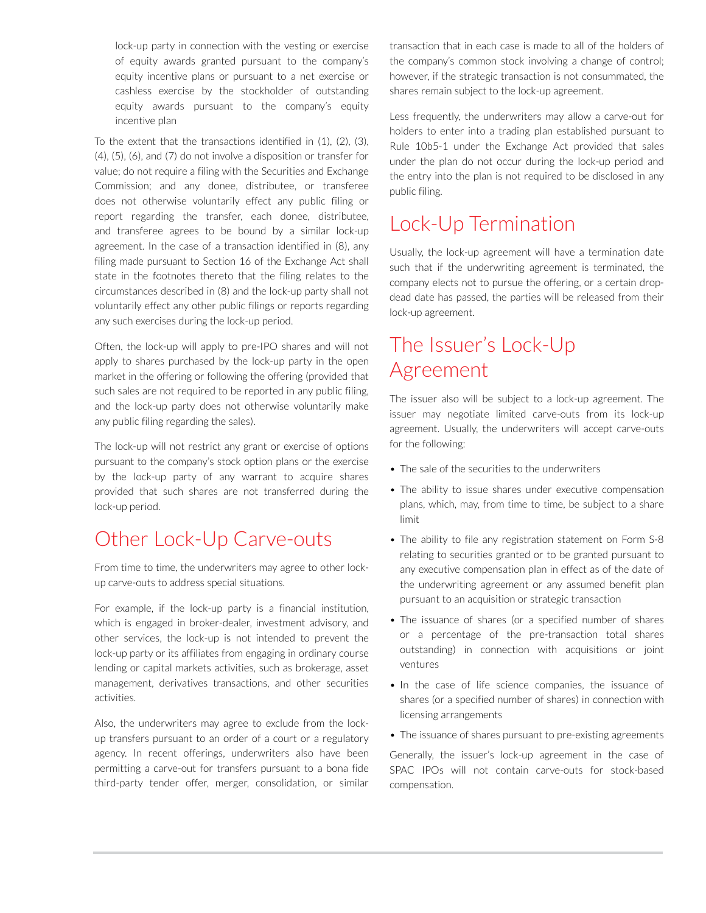lock-up party in connection with the vesting or exercise of equity awards granted pursuant to the company's equity incentive plans or pursuant to a net exercise or cashless exercise by the stockholder of outstanding equity awards pursuant to the company's equity incentive plan

To the extent that the transactions identified in (1), (2), (3), (4), (5), (6), and (7) do not involve a disposition or transfer for value; do not require a filing with the Securities and Exchange Commission; and any donee, distributee, or transferee does not otherwise voluntarily effect any public filing or report regarding the transfer, each donee, distributee, and transferee agrees to be bound by a similar lock-up agreement. In the case of a transaction identified in (8), any filing made pursuant to Section 16 of the Exchange Act shall state in the footnotes thereto that the filing relates to the circumstances described in (8) and the lock-up party shall not voluntarily effect any other public filings or reports regarding any such exercises during the lock-up period.

Often, the lock-up will apply to pre-IPO shares and will not apply to shares purchased by the lock-up party in the open market in the offering or following the offering (provided that such sales are not required to be reported in any public filing, and the lock-up party does not otherwise voluntarily make any public filing regarding the sales).

The lock-up will not restrict any grant or exercise of options pursuant to the company's stock option plans or the exercise by the lock-up party of any warrant to acquire shares provided that such shares are not transferred during the lock-up period.

### Other Lock-Up Carve-outs

From time to time, the underwriters may agree to other lockup carve-outs to address special situations.

For example, if the lock-up party is a financial institution, which is engaged in broker-dealer, investment advisory, and other services, the lock-up is not intended to prevent the lock-up party or its affiliates from engaging in ordinary course lending or capital markets activities, such as brokerage, asset management, derivatives transactions, and other securities activities.

Also, the underwriters may agree to exclude from the lockup transfers pursuant to an order of a court or a regulatory agency. In recent offerings, underwriters also have been permitting a carve-out for transfers pursuant to a bona fide third-party tender offer, merger, consolidation, or similar

transaction that in each case is made to all of the holders of the company's common stock involving a change of control; however, if the strategic transaction is not consummated, the shares remain subject to the lock-up agreement.

Less frequently, the underwriters may allow a carve-out for holders to enter into a trading plan established pursuant to Rule 10b5-1 under the Exchange Act provided that sales under the plan do not occur during the lock-up period and the entry into the plan is not required to be disclosed in any public filing.

#### Lock-Up Termination

Usually, the lock-up agreement will have a termination date such that if the underwriting agreement is terminated, the company elects not to pursue the offering, or a certain dropdead date has passed, the parties will be released from their lock-up agreement.

### The Issuer's Lock-Up Agreement

The issuer also will be subject to a lock-up agreement. The issuer may negotiate limited carve-outs from its lock-up agreement. Usually, the underwriters will accept carve-outs for the following:

- The sale of the securities to the underwriters
- The ability to issue shares under executive compensation plans, which, may, from time to time, be subject to a share limit
- The ability to file any registration statement on Form S-8 relating to securities granted or to be granted pursuant to any executive compensation plan in effect as of the date of the underwriting agreement or any assumed benefit plan pursuant to an acquisition or strategic transaction
- The issuance of shares (or a specified number of shares or a percentage of the pre-transaction total shares outstanding) in connection with acquisitions or joint ventures
- In the case of life science companies, the issuance of shares (or a specified number of shares) in connection with licensing arrangements
- The issuance of shares pursuant to pre-existing agreements

Generally, the issuer's lock-up agreement in the case of SPAC IPOs will not contain carve-outs for stock-based compensation.